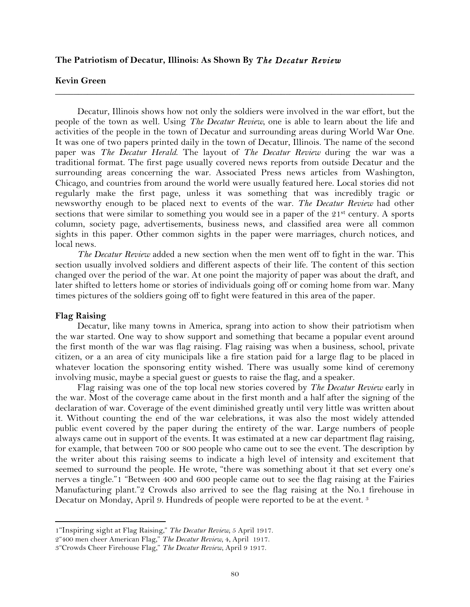### **The Patriotism of Decatur, Illinois: As Shown By** *The Decatur Review*

# **Kevin Green**

Decatur, Illinois shows how not only the soldiers were involved in the war effort, but the people of the town as well. Using *The Decatur Review*, one is able to learn about the life and activities of the people in the town of Decatur and surrounding areas during World War One. It was one of two papers printed daily in the town of Decatur, Illinois. The name of the second paper was *The Decatur Herald*. The layout of *The Decatur Review* during the war was a traditional format. The first page usually covered news reports from outside Decatur and the surrounding areas concerning the war. Associated Press news articles from Washington, Chicago, and countries from around the world were usually featured here. Local stories did not regularly make the first page, unless it was something that was incredibly tragic or newsworthy enough to be placed next to events of the war. *The Decatur Review* had other sections that were similar to something you would see in a paper of the 21<sup>st</sup> century. A sports column, society page, advertisements, business news, and classified area were all common sights in this paper. Other common sights in the paper were marriages, church notices, and local news.

**\_\_\_\_\_\_\_\_\_\_\_\_\_\_\_\_\_\_\_\_\_\_\_\_\_\_\_\_\_\_\_\_\_\_\_\_\_\_\_\_\_\_\_\_\_\_\_\_\_\_\_\_\_\_\_\_\_\_\_\_\_\_\_\_\_\_\_\_\_\_\_\_\_\_\_\_\_\_**

*The Decatur Review* added a new section when the men went off to fight in the war. This section usually involved soldiers and different aspects of their life. The content of this section changed over the period of the war. At one point the majority of paper was about the draft, and later shifted to letters home or stories of individuals going off or coming home from war. Many times pictures of the soldiers going off to fight were featured in this area of the paper.

# **Flag Raising**

Decatur, like many towns in America, sprang into action to show their patriotism when the war started. One way to show support and something that became a popular event around the first month of the war was flag raising. Flag raising was when a business, school, private citizen, or a an area of city municipals like a fire station paid for a large flag to be placed in whatever location the sponsoring entity wished. There was usually some kind of ceremony involving music, maybe a special guest or guests to raise the flag, and a speaker.

Flag raising was one of the top local new stories covered by *The Decatur Review* early in the war. Most of the coverage came about in the first month and a half after the signing of the declaration of war. Coverage of the event diminished greatly until very little was written about it. Without counting the end of the war celebrations, it was also the most widely attended public event covered by the paper during the entirety of the war. Large numbers of people always came out in support of the events. It was estimated at a new car department flag raising, for example, that between 700 or 800 people who came out to see the event. The description by the writer about this raising seems to indicate a high level of intensity and excitement that seemed to surround the people. He wrote, "there was something about it that set every one's nerves a tingle."1 "Between 400 and 600 people came out to see the flag raising at the Fairies Manufacturing plant."2 Crowds also arrived to see the flag raising at the No.1 firehouse in Decatur on Monday, April 9. Hundreds of people were reported to be at the event. 3

<sup>1&</sup>quot;Inspiring sight at Flag Raising," *The Decatur Review,* 5 April 1917.

<sup>2&</sup>quot;400 men cheer American Flag," *The Decatur Review,* 4, April 1917.

<sup>3&</sup>quot;Crowds Cheer Firehouse Flag," *The Decatur Review*, April 9 1917.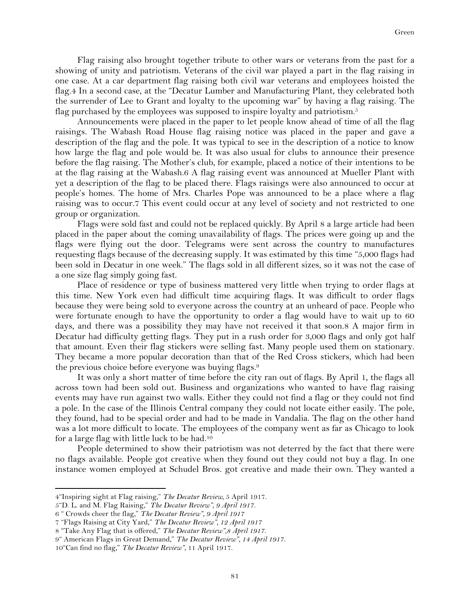Flag raising also brought together tribute to other wars or veterans from the past for a showing of unity and patriotism. Veterans of the civil war played a part in the flag raising in one case. At a car department flag raising both civil war veterans and employees hoisted the flag.4 In a second case, at the "Decatur Lumber and Manufacturing Plant, they celebrated both the surrender of Lee to Grant and loyalty to the upcoming war" by having a flag raising. The flag purchased by the employees was supposed to inspire loyalty and patriotism.<sup>5</sup>

Announcements were placed in the paper to let people know ahead of time of all the flag raisings. The Wabash Road House flag raising notice was placed in the paper and gave a description of the flag and the pole. It was typical to see in the description of a notice to know how large the flag and pole would be. It was also usual for clubs to announce their presence before the flag raising. The Mother's club, for example, placed a notice of their intentions to be at the flag raising at the Wabash.6 A flag raising event was announced at Mueller Plant with yet a description of the flag to be placed there. Flags raisings were also announced to occur at people's homes. The home of Mrs. Charles Pope was announced to be a place where a flag raising was to occur.7 This event could occur at any level of society and not restricted to one group or organization.

Flags were sold fast and could not be replaced quickly. By April 8 a large article had been placed in the paper about the coming unavailability of flags. The prices were going up and the flags were flying out the door. Telegrams were sent across the country to manufactures requesting flags because of the decreasing supply. It was estimated by this time "5,000 flags had been sold in Decatur in one week." The flags sold in all different sizes, so it was not the case of a one size flag simply going fast.

Place of residence or type of business mattered very little when trying to order flags at this time. New York even had difficult time acquiring flags. It was difficult to order flags because they were being sold to everyone across the country at an unheard of pace. People who were fortunate enough to have the opportunity to order a flag would have to wait up to 60 days, and there was a possibility they may have not received it that soon.8 A major firm in Decatur had difficulty getting flags. They put in a rush order for 3,000 flags and only got half that amount. Even their flag stickers were selling fast. Many people used them on stationary. They became a more popular decoration than that of the Red Cross stickers, which had been the previous choice before everyone was buying flags.9

It was only a short matter of time before the city ran out of flags. By April 1, the flags all across town had been sold out. Business and organizations who wanted to have flag raising events may have run against two walls. Either they could not find a flag or they could not find a pole. In the case of the Illinois Central company they could not locate either easily. The pole, they found, had to be special order and had to be made in Vandalia. The flag on the other hand was a lot more difficult to locate. The employees of the company went as far as Chicago to look for a large flag with little luck to be had.10

People determined to show their patriotism was not deterred by the fact that there were no flags available. People got creative when they found out they could not buy a flag. In one instance women employed at Schudel Bros. got creative and made their own. They wanted a

<sup>4&</sup>quot;Inspiring sight at Flag raising," *The Decatur Review,* 5 April 1917.

<sup>5&</sup>quot;D. L. and M. Flag Raising," *The Decatur Review", 9 April 1917.*

<sup>6</sup> " Crowds cheer the flag," *The Decatur Review", 9 April 1917*

<sup>7</sup> "Flags Raising at City Yard," *The Decatur Review", 12 April 1917*

<sup>8</sup> "Take Any Flag that is offered," *The Decatur Review",8 April 1917.*

<sup>9&</sup>quot; American Flags in Great Demand," *The Decatur Review", 14 April 1917.*

<sup>10&</sup>quot;Can find no flag," *The Decatur Review",* 11 April 1917.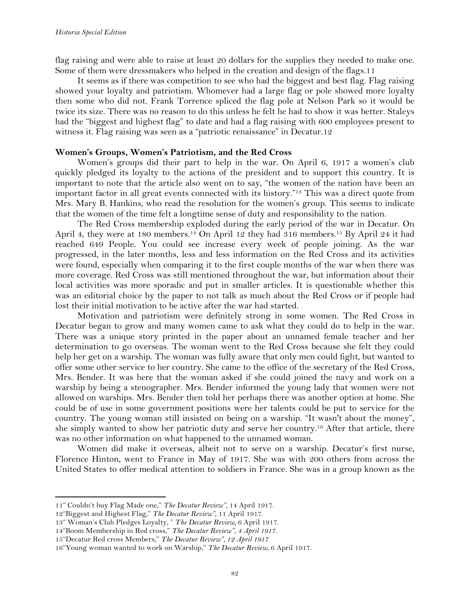flag raising and were able to raise at least 20 dollars for the supplies they needed to make one. Some of them were dressmakers who helped in the creation and design of the flags.11

It seems as if there was competition to see who had the biggest and best flag. Flag raising showed your loyalty and patriotism. Whomever had a large flag or pole showed more loyalty then some who did not. Frank Torrence spliced the flag pole at Nelson Park so it would be twice its size. There was no reason to do this unless he felt he had to show it was better. Staleys had the "biggest and highest flag" to date and had a flag raising with 600 employees present to witness it. Flag raising was seen as a "patriotic renaissance" in Decatur.12

# **Women's Groups, Women's Patriotism, and the Red Cross**

Women's groups did their part to help in the war. On April 6, 1917 a women's club quickly pledged its loyalty to the actions of the president and to support this country. It is important to note that the article also went on to say, "the women of the nation have been an important factor in all great events connected with its history."13 This was a direct quote from Mrs. Mary B. Hankins, who read the resolution for the women's group. This seems to indicate that the women of the time felt a longtime sense of duty and responsibility to the nation.

The Red Cross membership exploded during the early period of the war in Decatur. On April 4, they were at 180 members.14 On April 12 they had 316 members.15 By April 24 it had reached 649 People. You could see increase every week of people joining. As the war progressed, in the later months, less and less information on the Red Cross and its activities were found, especially when comparing it to the first couple months of the war when there was more coverage. Red Cross was still mentioned throughout the war, but information about their local activities was more sporadic and put in smaller articles. It is questionable whether this was an editorial choice by the paper to not talk as much about the Red Cross or if people had lost their initial motivation to be active after the war had started.

Motivation and patriotism were definitely strong in some women. The Red Cross in Decatur began to grow and many women came to ask what they could do to help in the war. There was a unique story printed in the paper about an unnamed female teacher and her determination to go overseas. The woman went to the Red Cross because she felt they could help her get on a warship. The woman was fully aware that only men could fight, but wanted to offer some other service to her country. She came to the office of the secretary of the Red Cross, Mrs. Bender. It was here that the woman asked if she could joined the navy and work on a warship by being a stenographer. Mrs. Bender informed the young lady that women were not allowed on warships. Mrs. Bender then told her perhaps there was another option at home. She could be of use in some government positions were her talents could be put to service for the country. The young woman still insisted on being on a warship. "It wasn't about the money", she simply wanted to show her patriotic duty and serve her country.16 After that article, there was no other information on what happened to the unnamed woman.

Women did make it overseas, albeit not to serve on a warship. Decatur's first nurse, Florence Hinton, went to France in May of 1917. She was with 200 others from across the United States to offer medical attention to soldiers in France. She was in a group known as the

<sup>11&</sup>quot; Couldn't buy Flag Made one," *The Decatur Review",* 14 April 1917.

<sup>12&</sup>quot;Biggest and Highest Flag," *The Decatur Review",* 11 April 1917.

<sup>13&</sup>quot; Woman's Club Pledges Loyalty, " *The Decatur Review,* 6 April 1917.

<sup>14&</sup>quot;Boom Membership in Red cross," *The Decatur Review", 4 April 1917.*

<sup>15&</sup>quot;Decatur Red cross Members," *The Decatur Review", 12 April 1917*

<sup>16&</sup>quot;Young woman wanted to work on Warship," *The Decatur Review,* 6 April 1917.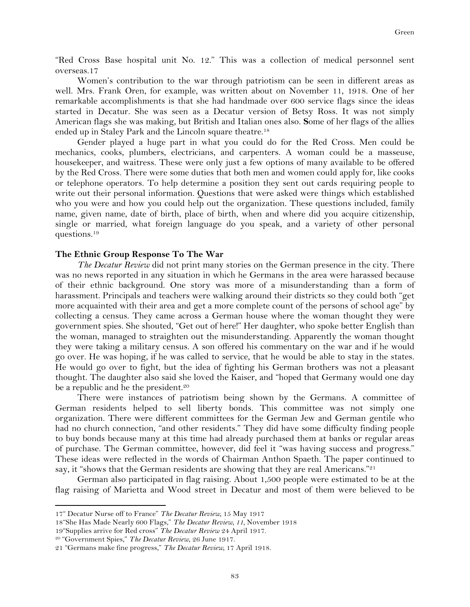"Red Cross Base hospital unit No. 12." This was a collection of medical personnel sent overseas.17

Women's contribution to the war through patriotism can be seen in different areas as well. Mrs. Frank Oren, for example, was written about on November 11, 1918. One of her remarkable accomplishments is that she had handmade over 600 service flags since the ideas started in Decatur. She was seen as a Decatur version of Betsy Ross. It was not simply American flags she was making, but British and Italian ones also. **S**ome of her flags of the allies ended up in Staley Park and the Lincoln square theatre.18

Gender played a huge part in what you could do for the Red Cross. Men could be mechanics, cooks, plumbers, electricians, and carpenters. A woman could be a masseuse, housekeeper, and waitress. These were only just a few options of many available to be offered by the Red Cross. There were some duties that both men and women could apply for, like cooks or telephone operators. To help determine a position they sent out cards requiring people to write out their personal information. Questions that were asked were things which established who you were and how you could help out the organization. These questions included, family name, given name, date of birth, place of birth, when and where did you acquire citizenship, single or married, what foreign language do you speak, and a variety of other personal questions.19

#### **The Ethnic Group Response To The War**

*The Decatur Review* did not print many stories on the German presence in the city. There was no news reported in any situation in which he Germans in the area were harassed because of their ethnic background. One story was more of a misunderstanding than a form of harassment. Principals and teachers were walking around their districts so they could both "get more acquainted with their area and get a more complete count of the persons of school age" by collecting a census. They came across a German house where the woman thought they were government spies. She shouted, "Get out of here!" Her daughter, who spoke better English than the woman, managed to straighten out the misunderstanding. Apparently the woman thought they were taking a military census. A son offered his commentary on the war and if he would go over. He was hoping, if he was called to service, that he would be able to stay in the states. He would go over to fight, but the idea of fighting his German brothers was not a pleasant thought. The daughter also said she loved the Kaiser, and "hoped that Germany would one day be a republic and he the president.<sup>20</sup>

There were instances of patriotism being shown by the Germans. A committee of German residents helped to sell liberty bonds. This committee was not simply one organization. There were different committees for the German Jew and German gentile who had no church connection, "and other residents." They did have some difficulty finding people to buy bonds because many at this time had already purchased them at banks or regular areas of purchase. The German committee, however, did feel it "was having success and progress." These ideas were reflected in the words of Chairman Anthon Spaeth. The paper continued to say, it "shows that the German residents are showing that they are real Americans."21

German also participated in flag raising. About 1,500 people were estimated to be at the flag raising of Marietta and Wood street in Decatur and most of them were believed to be

<sup>17&</sup>quot; Decatur Nurse off to France" *The Decatur Review,* 15 May 1917

<sup>18&</sup>quot;She Has Made Nearly 600 Flags," *The Decatur Review, 11,* November 1918

<sup>19&</sup>quot;Supplies arrive for Red cross" *The Decatur Review* 24 April 1917.

<sup>20</sup> "Government Spies," *The Decatur Review*, 26 June 1917.

<sup>21</sup> "Germans make fine progress," *The Decatur Review,* 17 April 1918.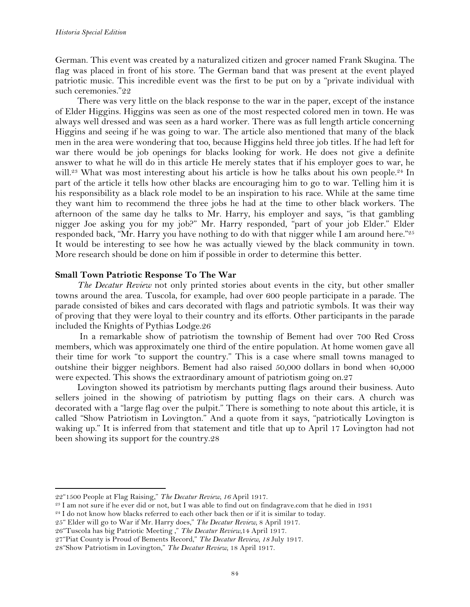German. This event was created by a naturalized citizen and grocer named Frank Skugina. The flag was placed in front of his store. The German band that was present at the event played patriotic music. This incredible event was the first to be put on by a "private individual with such ceremonies."22

There was very little on the black response to the war in the paper, except of the instance of Elder Higgins. Higgins was seen as one of the most respected colored men in town. He was always well dressed and was seen as a hard worker. There was as full length article concerning Higgins and seeing if he was going to war. The article also mentioned that many of the black men in the area were wondering that too, because Higgins held three job titles. If he had left for war there would be job openings for blacks looking for work. He does not give a definite answer to what he will do in this article He merely states that if his employer goes to war, he will.<sup>23</sup> What was most interesting about his article is how he talks about his own people.<sup>24</sup> In part of the article it tells how other blacks are encouraging him to go to war. Telling him it is his responsibility as a black role model to be an inspiration to his race. While at the same time they want him to recommend the three jobs he had at the time to other black workers. The afternoon of the same day he talks to Mr. Harry, his employer and says, "is that gambling nigger Joe asking you for my job?" Mr. Harry responded, "part of your job Elder." Elder responded back, "Mr. Harry you have nothing to do with that nigger while I am around here."<sup>25</sup> It would be interesting to see how he was actually viewed by the black community in town. More research should be done on him if possible in order to determine this better.

# **Small Town Patriotic Response To The War**

*The Decatur Review* not only printed stories about events in the city, but other smaller towns around the area. Tuscola, for example, had over 600 people participate in a parade. The parade consisted of bikes and cars decorated with flags and patriotic symbols. It was their way of proving that they were loyal to their country and its efforts. Other participants in the parade included the Knights of Pythias Lodge.26

In a remarkable show of patriotism the township of Bement had over 700 Red Cross members, which was approximately one third of the entire population. At home women gave all their time for work "to support the country." This is a case where small towns managed to outshine their bigger neighbors. Bement had also raised 50,000 dollars in bond when 40,000 were expected. This shows the extraordinary amount of patriotism going on.27

Lovington showed its patriotism by merchants putting flags around their business. Auto sellers joined in the showing of patriotism by putting flags on their cars. A church was decorated with a "large flag over the pulpit." There is something to note about this article, it is called "Show Patriotism in Lovington." And a quote from it says, "patriotically Lovington is waking up." It is inferred from that statement and title that up to April 17 Lovington had not been showing its support for the country.28

!!!!!!!!!!!!!!!!!!!!!!!!!!!!!!!!!!!!!!!!!!!!!!!!!!!!!!!!!!!!

25" Elder will go to War if Mr. Harry does," *The Decatur Review,* 8 April 1917.

<sup>22&</sup>quot;1500 People at Flag Raising," *The Decatur Review, 16* April 1917.

<sup>&</sup>lt;sup>23</sup> I am not sure if he ever did or not, but I was able to find out on findagrave.com that he died in 1931

 $24$  I do not know how blacks referred to each other back then or if it is similar to today.

<sup>26&</sup>quot;Tuscola has big Patriotic Meeting ," *The Decatur Review,*14 April 1917.

<sup>27&</sup>quot;Piat County is Proud of Bements Record," *The Decatur Review, 18* July 1917.

<sup>28&</sup>quot;Show Patriotism in Lovington," *The Decatur Review,* 18 April 1917.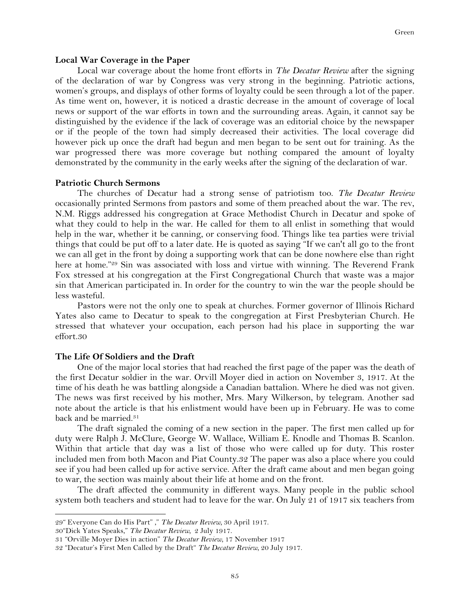#### **Local War Coverage in the Paper**

Local war coverage about the home front efforts in *The Decatur Review* after the signing of the declaration of war by Congress was very strong in the beginning. Patriotic actions, women's groups, and displays of other forms of loyalty could be seen through a lot of the paper. As time went on, however, it is noticed a drastic decrease in the amount of coverage of local news or support of the war efforts in town and the surrounding areas. Again, it cannot say be distinguished by the evidence if the lack of coverage was an editorial choice by the newspaper or if the people of the town had simply decreased their activities. The local coverage did however pick up once the draft had begun and men began to be sent out for training. As the war progressed there was more coverage but nothing compared the amount of loyalty demonstrated by the community in the early weeks after the signing of the declaration of war.

### **Patriotic Church Sermons**

The churches of Decatur had a strong sense of patriotism too. *The Decatur Review* occasionally printed Sermons from pastors and some of them preached about the war. The rev, N.M. Riggs addressed his congregation at Grace Methodist Church in Decatur and spoke of what they could to help in the war. He called for them to all enlist in something that would help in the war, whether it be canning, or conserving food. Things like tea parties were trivial things that could be put off to a later date. He is quoted as saying "If we can't all go to the front we can all get in the front by doing a supporting work that can be done nowhere else than right here at home."<sup>29</sup> Sin was associated with loss and virtue with winning. The Reverend Frank Fox stressed at his congregation at the First Congregational Church that waste was a major sin that American participated in. In order for the country to win the war the people should be less wasteful.

Pastors were not the only one to speak at churches. Former governor of Illinois Richard Yates also came to Decatur to speak to the congregation at First Presbyterian Church. He stressed that whatever your occupation, each person had his place in supporting the war effort.30

## **The Life Of Soldiers and the Draft**

One of the major local stories that had reached the first page of the paper was the death of the first Decatur soldier in the war. Orvill Moyer died in action on November 3, 1917. At the time of his death he was battling alongside a Canadian battalion. Where he died was not given. The news was first received by his mother, Mrs. Mary Wilkerson, by telegram. Another sad note about the article is that his enlistment would have been up in February. He was to come back and be married.<sup>31</sup>

The draft signaled the coming of a new section in the paper. The first men called up for duty were Ralph J. McClure, George W. Wallace, William E. Knodle and Thomas B. Scanlon. Within that article that day was a list of those who were called up for duty. This roster included men from both Macon and Piat County.32 The paper was also a place where you could see if you had been called up for active service. After the draft came about and men began going to war, the section was mainly about their life at home and on the front.

The draft affected the community in different ways. Many people in the public school system both teachers and student had to leave for the war. On July 21 of 1917 six teachers from

30"Dick Yates Speaks," *The Decatur Review,* 2 July 1917.

<sup>29&</sup>quot; Everyone Can do His Part" ," *The Decatur Review,* 30 April 1917.

<sup>31</sup> "Orville Moyer Dies in action" *The Decatur Review,* 17 November 1917

<sup>32</sup> "Decatur's First Men Called by the Draft" *The Decatur Review,* 20 July 1917.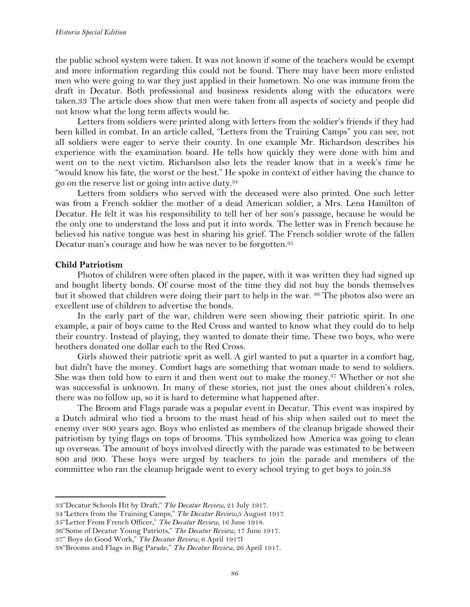the public school system were taken. It was not known if some of the teachers would be exempt and more information regarding this could not be found. There may have been more enlisted men who were going to war they just applied in their hometown. No one was immune from the draft in Decatur. Both professional and business residents along with the educators were taken.33 The article does show that men were taken from all aspects of society and people did not know what the long term affects would be.

Letters from soldiers were printed along with letters from the soldier's friends if they had been killed in combat. In an article called, "Letters from the Training Camps" you can see, not all soldiers were eager to serve their county. In one example Mr. Richardson describes his experience with the examination board. He tells how quickly they were done with him and went on to the next victim. Richardson also lets the reader know that in a week's time he "would know his fate, the worst or the best." He spoke in context of either having the chance to go on the reserve list or going into active duty.34

Letters from soldiers who served with the deceased were also printed. One such letter was from a French soldier the mother of a dead American soldier, a Mrs. Lena Hamilton of Decatur. He felt it was his responsibility to tell her of her son's passage, because he would be the only one to understand the loss and put it into words. The letter was in French because he believed his native tongue was best in sharing his grief. The French soldier wrote of the fallen Decatur man's courage and how he was never to be forgotten.<sup>35</sup>

# **Child Patriotism**

Photos of children were often placed in the paper, with it was written they had signed up and bought liberty bonds. Of course most of the time they did not buy the bonds themselves but it showed that children were doing their part to help in the war. <sup>36</sup> The photos also were an excellent use of children to advertise the bonds.

In the early part of the war, children were seen showing their patriotic spirit. In one example, a pair of boys came to the Red Cross and wanted to know what they could do to help their country. Instead of playing, they wanted to donate their time. These two boys, who were brothers donated one dollar each to the Red Cross.

Girls showed their patriotic sprit as well. A girl wanted to put a quarter in a comfort bag, but didn't have the money. Comfort bags are something that woman made to send to soldiers. She was then told how to earn it and then went out to make the money.<sup>37</sup> Whether or not she was successful is unknown. In many of these stories, not just the ones about children's roles, there was no follow up, so it is hard to determine what happened after.

The Broom and Flags parade was a popular event in Decatur. This event was inspired by a Dutch admiral who tied a broom to the mast head of his ship when sailed out to meet the enemy over 800 years ago. Boys who enlisted as members of the cleanup brigade showed their patriotism by tying flags on tops of brooms. This symbolized how America was going to clean up overseas. The amount of boys involved directly with the parade was estimated to be between 800 and 900. These boys were urged by teachers to join the parade and members of the committee who ran the cleanup brigade went to every school trying to get boys to join.38

<sup>33&</sup>quot;Decatur Schools Hit by Draft," *The Decatur Review,* 21 July 1917.

<sup>34</sup>*"*Letters from the Training Camps," *The Decatur Review,*5 August 1917

<sup>35&</sup>quot;Letter From French Officer," *The Decatur Review,* 16 June 1918.

<sup>36&</sup>quot;Some of Decatur Young Patriots," *The Decatur Review,* 17 June 1917.

<sup>37&</sup>quot; Boys do Good Work," *The Decatur Review,* 6 April 1917l

<sup>38&</sup>quot;Brooms and Flags in Big Parade," *The Decatur Review,* 26 April 1917.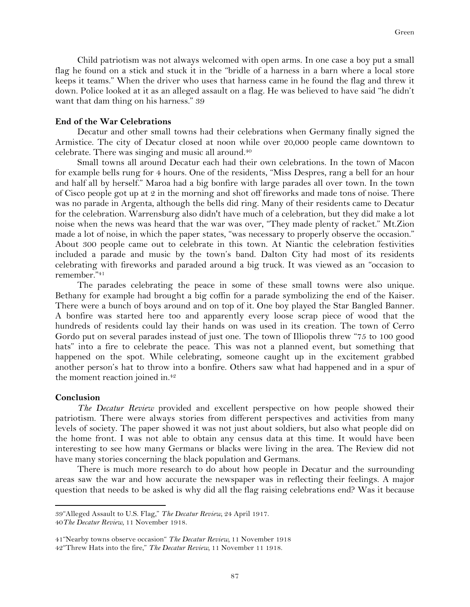Child patriotism was not always welcomed with open arms. In one case a boy put a small flag he found on a stick and stuck it in the "bridle of a harness in a barn where a local store keeps it teams." When the driver who uses that harness came in he found the flag and threw it down. Police looked at it as an alleged assault on a flag. He was believed to have said "he didn't want that dam thing on his harness." 39

# **End of the War Celebrations**

Decatur and other small towns had their celebrations when Germany finally signed the Armistice. The city of Decatur closed at noon while over 20,000 people came downtown to celebrate. There was singing and music all around.40

Small towns all around Decatur each had their own celebrations. In the town of Macon for example bells rung for 4 hours. One of the residents, "Miss Despres, rang a bell for an hour and half all by herself." Maroa had a big bonfire with large parades all over town. In the town of Cisco people got up at 2 in the morning and shot off fireworks and made tons of noise. There was no parade in Argenta, although the bells did ring. Many of their residents came to Decatur for the celebration. Warrensburg also didn't have much of a celebration, but they did make a lot noise when the news was heard that the war was over, "They made plenty of racket." Mt.Zion made a lot of noise, in which the paper states, "was necessary to properly observe the occasion." About 300 people came out to celebrate in this town. At Niantic the celebration festivities included a parade and music by the town's band. Dalton City had most of its residents celebrating with fireworks and paraded around a big truck. It was viewed as an "occasion to remember."41

The parades celebrating the peace in some of these small towns were also unique. Bethany for example had brought a big coffin for a parade symbolizing the end of the Kaiser. There were a bunch of boys around and on top of it. One boy played the Star Bangled Banner. A bonfire was started here too and apparently every loose scrap piece of wood that the hundreds of residents could lay their hands on was used in its creation. The town of Cerro Gordo put on several parades instead of just one. The town of Illiopolis threw "75 to 100 good hats" into a fire to celebrate the peace. This was not a planned event, but something that happened on the spot. While celebrating, someone caught up in the excitement grabbed another person's hat to throw into a bonfire. Others saw what had happened and in a spur of the moment reaction joined in.42

#### **Conclusion**

*The Decatur Review* provided and excellent perspective on how people showed their patriotism. There were always stories from different perspectives and activities from many levels of society. The paper showed it was not just about soldiers, but also what people did on the home front. I was not able to obtain any census data at this time. It would have been interesting to see how many Germans or blacks were living in the area. The Review did not have many stories concerning the black population and Germans.

There is much more research to do about how people in Decatur and the surrounding areas saw the war and how accurate the newspaper was in reflecting their feelings. A major question that needs to be asked is why did all the flag raising celebrations end? Was it because

<sup>39&</sup>quot;Alleged Assault to U.S. Flag," *The Decatur Review,* 24 April 1917. 40*The Decatur Review,* 11 November 1918.

<sup>41&</sup>quot;Nearby towns observe occasion" *The Decatur Review,* 11 November 1918 42"Threw Hats into the fire," *The Decatur Review,* 11 November 11 1918.